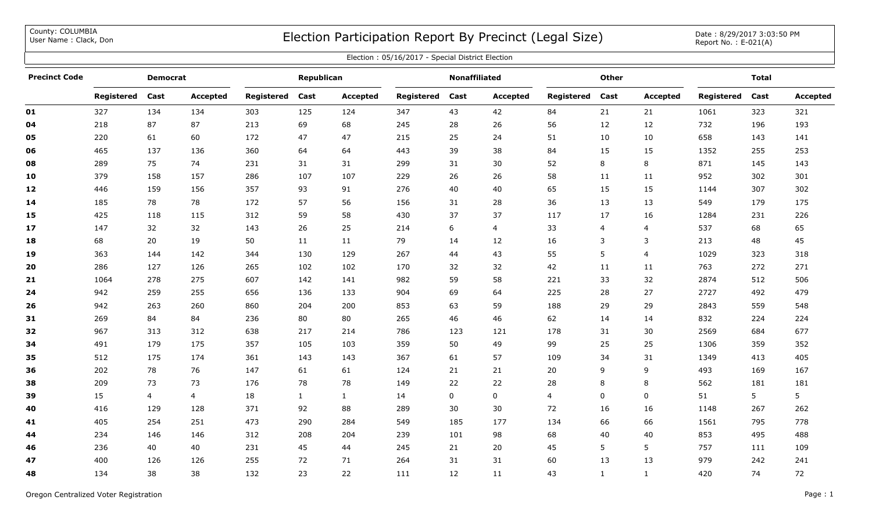County: COLUMBIA<br>User Name: Clack, Don

## COUNTY: COLUMBIA<br>User Name : Clack, Don Date : 8/29/2017 3:03:50 PM

| Election: 05/16/2017 - Special District Election |                 |      |                 |                   |              |              |                      |      |                 |              |              |                 |              |      |                 |
|--------------------------------------------------|-----------------|------|-----------------|-------------------|--------------|--------------|----------------------|------|-----------------|--------------|--------------|-----------------|--------------|------|-----------------|
| <b>Precinct Code</b>                             | <b>Democrat</b> |      |                 | Republican        |              |              | <b>Nonaffiliated</b> |      |                 | <b>Other</b> |              |                 | <b>Total</b> |      |                 |
|                                                  | Registered      | Cast | <b>Accepted</b> | <b>Registered</b> | Cast         | Accepted     | Registered           | Cast | <b>Accepted</b> | Registered   | Cast         | <b>Accepted</b> | Registered   | Cast | <b>Accepted</b> |
| 01                                               | 327             | 134  | 134             | 303               | 125          | 124          | 347                  | 43   | 42              | 84           | 21           | 21              | 1061         | 323  | 321             |
| 04                                               | 218             | 87   | 87              | 213               | 69           | 68           | 245                  | 28   | 26              | 56           | 12           | 12              | 732          | 196  | 193             |
| 05                                               | 220             | 61   | 60              | 172               | 47           | 47           | 215                  | 25   | 24              | 51           | 10           | 10              | 658          | 143  | 141             |
| 06                                               | 465             | 137  | 136             | 360               | 64           | 64           | 443                  | 39   | 38              | 84           | 15           | 15              | 1352         | 255  | 253             |
| 08                                               | 289             | 75   | 74              | 231               | 31           | 31           | 299                  | 31   | 30              | 52           | 8            | 8               | 871          | 145  | 143             |
| 10                                               | 379             | 158  | 157             | 286               | 107          | 107          | 229                  | 26   | 26              | 58           | 11           | 11              | 952          | 302  | 301             |
| 12                                               | 446             | 159  | 156             | 357               | 93           | 91           | 276                  | 40   | 40              | 65           | 15           | 15              | 1144         | 307  | 302             |
| 14                                               | 185             | 78   | 78              | 172               | 57           | 56           | 156                  | 31   | 28              | 36           | 13           | 13              | 549          | 179  | 175             |
| 15                                               | 425             | 118  | 115             | 312               | 59           | 58           | 430                  | 37   | 37              | 117          | 17           | 16              | 1284         | 231  | 226             |
| 17                                               | 147             | 32   | 32              | 143               | 26           | 25           | 214                  | 6    | 4               | 33           | 4            | 4               | 537          | 68   | 65              |
| 18                                               | 68              | 20   | 19              | 50                | 11           | 11           | 79                   | 14   | 12              | 16           | 3            | 3               | 213          | 48   | 45              |
| 19                                               | 363             | 144  | 142             | 344               | 130          | 129          | 267                  | 44   | 43              | 55           | 5            | 4               | 1029         | 323  | 318             |
| 20                                               | 286             | 127  | 126             | 265               | 102          | 102          | 170                  | 32   | 32              | 42           | 11           | 11              | 763          | 272  | 271             |
| 21                                               | 1064            | 278  | 275             | 607               | 142          | 141          | 982                  | 59   | 58              | 221          | 33           | 32              | 2874         | 512  | 506             |
| 24                                               | 942             | 259  | 255             | 656               | 136          | 133          | 904                  | 69   | 64              | 225          | 28           | 27              | 2727         | 492  | 479             |
| 26                                               | 942             | 263  | 260             | 860               | 204          | 200          | 853                  | 63   | 59              | 188          | 29           | 29              | 2843         | 559  | 548             |
| 31                                               | 269             | 84   | 84              | 236               | 80           | 80           | 265                  | 46   | 46              | 62           | 14           | 14              | 832          | 224  | 224             |
| 32                                               | 967             | 313  | 312             | 638               | 217          | 214          | 786                  | 123  | 121             | 178          | 31           | 30              | 2569         | 684  | 677             |
| 34                                               | 491             | 179  | 175             | 357               | 105          | 103          | 359                  | 50   | 49              | 99           | 25           | 25              | 1306         | 359  | 352             |
| 35                                               | 512             | 175  | 174             | 361               | 143          | 143          | 367                  | 61   | 57              | 109          | 34           | 31              | 1349         | 413  | 405             |
| 36                                               | 202             | 78   | 76              | 147               | 61           | 61           | 124                  | 21   | 21              | 20           | 9            | 9               | 493          | 169  | 167             |
| 38                                               | 209             | 73   | 73              | 176               | 78           | 78           | 149                  | 22   | 22              | 28           | 8            | 8               | 562          | 181  | 181             |
| 39                                               | 15              | 4    | 4               | 18                | $\mathbf{1}$ | $\mathbf{1}$ | 14                   | 0    | 0               | 4            | 0            | 0               | 51           | 5    | 5               |
| 40                                               | 416             | 129  | 128             | 371               | 92           | 88           | 289                  | 30   | 30              | 72           | 16           | 16              | 1148         | 267  | 262             |
| 41                                               | 405             | 254  | 251             | 473               | 290          | 284          | 549                  | 185  | 177             | 134          | 66           | 66              | 1561         | 795  | 778             |
| 44                                               | 234             | 146  | 146             | 312               | 208          | 204          | 239                  | 101  | 98              | 68           | 40           | 40              | 853          | 495  | 488             |
| 46                                               | 236             | 40   | 40              | 231               | 45           | 44           | 245                  | 21   | 20              | 45           | 5            | 5               | 757          | 111  | 109             |
| 47                                               | 400             | 126  | 126             | 255               | 72           | 71           | 264                  | 31   | 31              | 60           | 13           | 13              | 979          | 242  | 241             |
| 48                                               | 134             | 38   | 38              | 132               | 23           | 22           | 111                  | 12   | 11              | 43           | $\mathbf{1}$ | $\mathbf{1}$    | 420          | 74   | 72              |